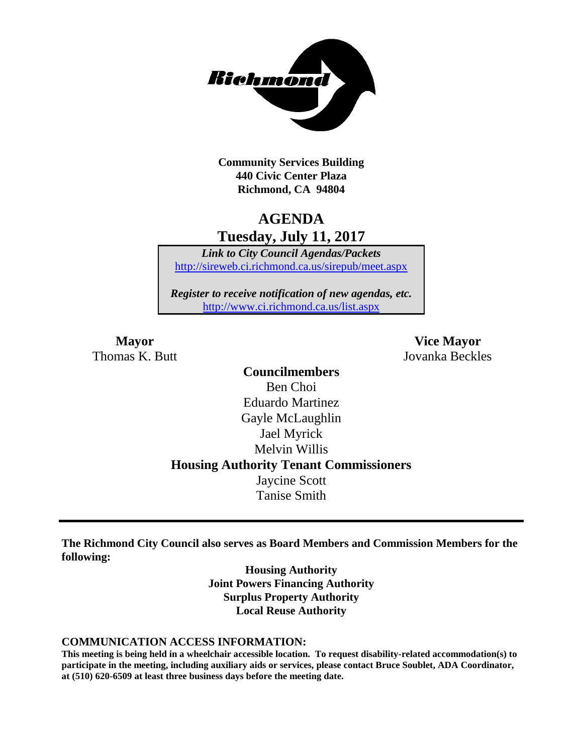

**Community Services Building 440 Civic Center Plaza Richmond, CA 94804**

## **AGENDA Tuesday, July 11, 2017**

*Link to City Council Agendas/Packets* <http://sireweb.ci.richmond.ca.us/sirepub/meet.aspx>

*Register to receive notification of new agendas, etc.* <http://www.ci.richmond.ca.us/list.aspx>

**Mayor Vice Mayor** Thomas K. Butt Jovanka Beckles

> **Councilmembers** Ben Choi Eduardo Martinez Gayle McLaughlin Jael Myrick Melvin Willis **Housing Authority Tenant Commissioners** Jaycine Scott Tanise Smith

**The Richmond City Council also serves as Board Members and Commission Members for the following:**

> **Housing Authority Joint Powers Financing Authority Surplus Property Authority Local Reuse Authority**

#### **COMMUNICATION ACCESS INFORMATION:**

**This meeting is being held in a wheelchair accessible location. To request disability-related accommodation(s) to participate in the meeting, including auxiliary aids or services, please contact Bruce Soublet, ADA Coordinator, at (510) 620-6509 at least three business days before the meeting date.**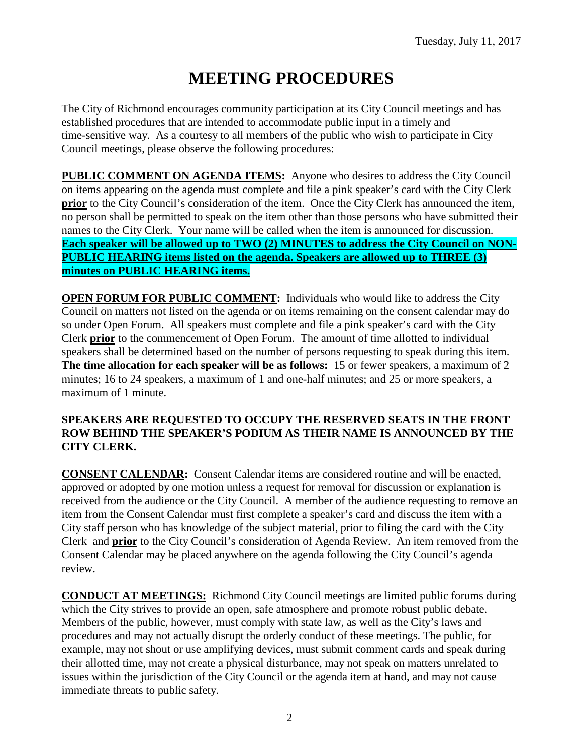# **MEETING PROCEDURES**

The City of Richmond encourages community participation at its City Council meetings and has established procedures that are intended to accommodate public input in a timely and time-sensitive way. As a courtesy to all members of the public who wish to participate in City Council meetings, please observe the following procedures:

**PUBLIC COMMENT ON AGENDA ITEMS:** Anyone who desires to address the City Council on items appearing on the agenda must complete and file a pink speaker's card with the City Clerk **prior** to the City Council's consideration of the item. Once the City Clerk has announced the item, no person shall be permitted to speak on the item other than those persons who have submitted their names to the City Clerk. Your name will be called when the item is announced for discussion. **Each speaker will be allowed up to TWO (2) MINUTES to address the City Council on NON-PUBLIC HEARING items listed on the agenda. Speakers are allowed up to THREE (3) minutes on PUBLIC HEARING items.**

**OPEN FORUM FOR PUBLIC COMMENT:** Individuals who would like to address the City Council on matters not listed on the agenda or on items remaining on the consent calendar may do so under Open Forum. All speakers must complete and file a pink speaker's card with the City Clerk **prior** to the commencement of Open Forum. The amount of time allotted to individual speakers shall be determined based on the number of persons requesting to speak during this item. **The time allocation for each speaker will be as follows:** 15 or fewer speakers, a maximum of 2 minutes; 16 to 24 speakers, a maximum of 1 and one-half minutes; and 25 or more speakers, a maximum of 1 minute.

#### **SPEAKERS ARE REQUESTED TO OCCUPY THE RESERVED SEATS IN THE FRONT ROW BEHIND THE SPEAKER'S PODIUM AS THEIR NAME IS ANNOUNCED BY THE CITY CLERK.**

**CONSENT CALENDAR:** Consent Calendar items are considered routine and will be enacted, approved or adopted by one motion unless a request for removal for discussion or explanation is received from the audience or the City Council. A member of the audience requesting to remove an item from the Consent Calendar must first complete a speaker's card and discuss the item with a City staff person who has knowledge of the subject material, prior to filing the card with the City Clerk and **prior** to the City Council's consideration of Agenda Review. An item removed from the Consent Calendar may be placed anywhere on the agenda following the City Council's agenda review.

**CONDUCT AT MEETINGS:** Richmond City Council meetings are limited public forums during which the City strives to provide an open, safe atmosphere and promote robust public debate. Members of the public, however, must comply with state law, as well as the City's laws and procedures and may not actually disrupt the orderly conduct of these meetings. The public, for example, may not shout or use amplifying devices, must submit comment cards and speak during their allotted time, may not create a physical disturbance, may not speak on matters unrelated to issues within the jurisdiction of the City Council or the agenda item at hand, and may not cause immediate threats to public safety.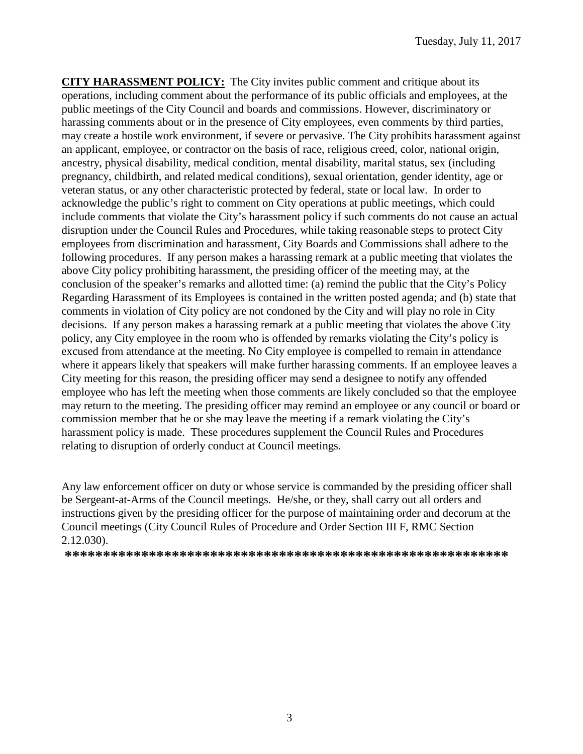**CITY HARASSMENT POLICY:** The City invites public comment and critique about its operations, including comment about the performance of its public officials and employees, at the public meetings of the City Council and boards and commissions. However, discriminatory or harassing comments about or in the presence of City employees, even comments by third parties, may create a hostile work environment, if severe or pervasive. The City prohibits harassment against an applicant, employee, or contractor on the basis of race, religious creed, color, national origin, ancestry, physical disability, medical condition, mental disability, marital status, sex (including pregnancy, childbirth, and related medical conditions), sexual orientation, gender identity, age or veteran status, or any other characteristic protected by federal, state or local law. In order to acknowledge the public's right to comment on City operations at public meetings, which could include comments that violate the City's harassment policy if such comments do not cause an actual disruption under the Council Rules and Procedures, while taking reasonable steps to protect City employees from discrimination and harassment, City Boards and Commissions shall adhere to the following procedures. If any person makes a harassing remark at a public meeting that violates the above City policy prohibiting harassment, the presiding officer of the meeting may, at the conclusion of the speaker's remarks and allotted time: (a) remind the public that the City's Policy Regarding Harassment of its Employees is contained in the written posted agenda; and (b) state that comments in violation of City policy are not condoned by the City and will play no role in City decisions. If any person makes a harassing remark at a public meeting that violates the above City policy, any City employee in the room who is offended by remarks violating the City's policy is excused from attendance at the meeting. No City employee is compelled to remain in attendance where it appears likely that speakers will make further harassing comments. If an employee leaves a City meeting for this reason, the presiding officer may send a designee to notify any offended employee who has left the meeting when those comments are likely concluded so that the employee may return to the meeting. The presiding officer may remind an employee or any council or board or commission member that he or she may leave the meeting if a remark violating the City's harassment policy is made. These procedures supplement the Council Rules and Procedures relating to disruption of orderly conduct at Council meetings.

Any law enforcement officer on duty or whose service is commanded by the presiding officer shall be Sergeant-at-Arms of the Council meetings. He/she, or they, shall carry out all orders and instructions given by the presiding officer for the purpose of maintaining order and decorum at the Council meetings (City Council Rules of Procedure and Order Section III F, RMC Section 2.12.030).

**\*\*\*\*\*\*\*\*\*\*\*\*\*\*\*\*\*\*\*\*\*\*\*\*\*\*\*\*\*\*\*\*\*\*\*\*\*\*\*\*\*\*\*\*\*\*\*\*\*\*\*\*\*\*\*\*\*\***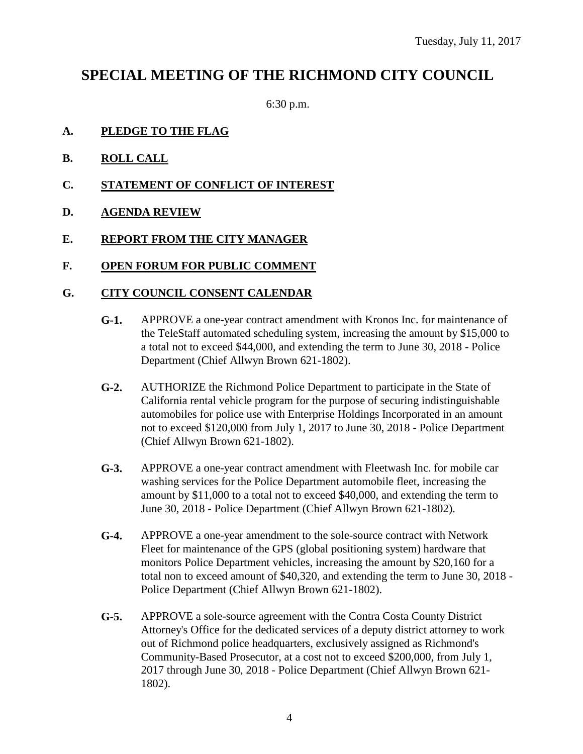## **SPECIAL MEETING OF THE RICHMOND CITY COUNCIL**

6:30 p.m.

- **A. PLEDGE TO THE FLAG**
- **B. ROLL CALL**
- **C. STATEMENT OF CONFLICT OF INTEREST**
- **D. AGENDA REVIEW**
- **E. REPORT FROM THE CITY MANAGER**
- **F. OPEN FORUM FOR PUBLIC COMMENT**

#### **G. CITY COUNCIL CONSENT CALENDAR**

- **G-1.** APPROVE a one-year contract amendment with Kronos Inc. for maintenance of the TeleStaff automated scheduling system, increasing the amount by \$15,000 to a total not to exceed \$44,000, and extending the term to June 30, 2018 - Police Department (Chief Allwyn Brown 621-1802).
- **G-2.** AUTHORIZE the Richmond Police Department to participate in the State of California rental vehicle program for the purpose of securing indistinguishable automobiles for police use with Enterprise Holdings Incorporated in an amount not to exceed \$120,000 from July 1, 2017 to June 30, 2018 - Police Department (Chief Allwyn Brown 621-1802).
- **G-3.** APPROVE a one-year contract amendment with Fleetwash Inc. for mobile car washing services for the Police Department automobile fleet, increasing the amount by \$11,000 to a total not to exceed \$40,000, and extending the term to June 30, 2018 - Police Department (Chief Allwyn Brown 621-1802).
- **G-4.** APPROVE a one-year amendment to the sole-source contract with Network Fleet for maintenance of the GPS (global positioning system) hardware that monitors Police Department vehicles, increasing the amount by \$20,160 for a total non to exceed amount of \$40,320, and extending the term to June 30, 2018 - Police Department (Chief Allwyn Brown 621-1802).
- **G-5.** APPROVE a sole-source agreement with the Contra Costa County District Attorney's Office for the dedicated services of a deputy district attorney to work out of Richmond police headquarters, exclusively assigned as Richmond's Community-Based Prosecutor, at a cost not to exceed \$200,000, from July 1, 2017 through June 30, 2018 - Police Department (Chief Allwyn Brown 621- 1802).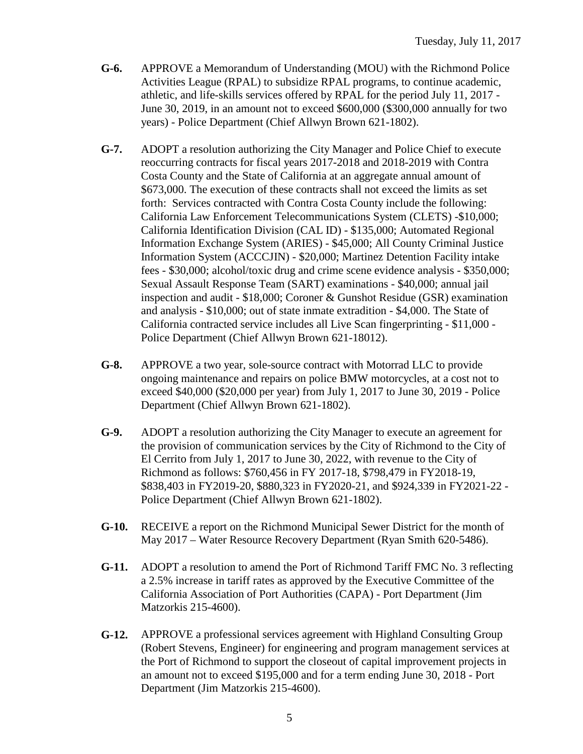- **G-6.** APPROVE a Memorandum of Understanding (MOU) with the Richmond Police Activities League (RPAL) to subsidize RPAL programs, to continue academic, athletic, and life-skills services offered by RPAL for the period July 11, 2017 - June 30, 2019, in an amount not to exceed \$600,000 (\$300,000 annually for two years) - Police Department (Chief Allwyn Brown 621-1802).
- **G-7.** ADOPT a resolution authorizing the City Manager and Police Chief to execute reoccurring contracts for fiscal years 2017-2018 and 2018-2019 with Contra Costa County and the State of California at an aggregate annual amount of \$673,000. The execution of these contracts shall not exceed the limits as set forth: Services contracted with Contra Costa County include the following: California Law Enforcement Telecommunications System (CLETS) -\$10,000; California Identification Division (CAL ID) - \$135,000; Automated Regional Information Exchange System (ARIES) - \$45,000; All County Criminal Justice Information System (ACCCJIN) - \$20,000; Martinez Detention Facility intake fees - \$30,000; alcohol/toxic drug and crime scene evidence analysis - \$350,000; Sexual Assault Response Team (SART) examinations - \$40,000; annual jail inspection and audit - \$18,000; Coroner & Gunshot Residue (GSR) examination and analysis - \$10,000; out of state inmate extradition - \$4,000. The State of California contracted service includes all Live Scan fingerprinting - \$11,000 - Police Department (Chief Allwyn Brown 621-18012).
- **G-8.** APPROVE a two year, sole-source contract with Motorrad LLC to provide ongoing maintenance and repairs on police BMW motorcycles, at a cost not to exceed \$40,000 (\$20,000 per year) from July 1, 2017 to June 30, 2019 - Police Department (Chief Allwyn Brown 621-1802).
- **G-9.** ADOPT a resolution authorizing the City Manager to execute an agreement for the provision of communication services by the City of Richmond to the City of El Cerrito from July 1, 2017 to June 30, 2022, with revenue to the City of Richmond as follows: \$760,456 in FY 2017-18, \$798,479 in FY2018-19, \$838,403 in FY2019-20, \$880,323 in FY2020-21, and \$924,339 in FY2021-22 - Police Department (Chief Allwyn Brown 621-1802).
- **G-10.** RECEIVE a report on the Richmond Municipal Sewer District for the month of May 2017 – Water Resource Recovery Department (Ryan Smith 620-5486).
- **G-11.** ADOPT a resolution to amend the Port of Richmond Tariff FMC No. 3 reflecting a 2.5% increase in tariff rates as approved by the Executive Committee of the California Association of Port Authorities (CAPA) - Port Department (Jim Matzorkis 215-4600).
- **G-12.** APPROVE a professional services agreement with Highland Consulting Group (Robert Stevens, Engineer) for engineering and program management services at the Port of Richmond to support the closeout of capital improvement projects in an amount not to exceed \$195,000 and for a term ending June 30, 2018 - Port Department (Jim Matzorkis 215-4600).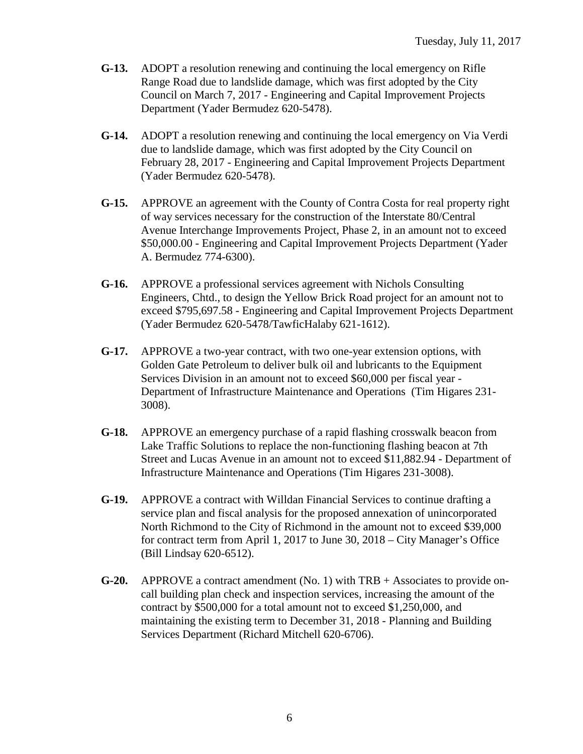- **G-13.** ADOPT a resolution renewing and continuing the local emergency on Rifle Range Road due to landslide damage, which was first adopted by the City Council on March 7, 2017 - Engineering and Capital Improvement Projects Department (Yader Bermudez 620-5478).
- **G-14.** ADOPT a resolution renewing and continuing the local emergency on Via Verdi due to landslide damage, which was first adopted by the City Council on February 28, 2017 - Engineering and Capital Improvement Projects Department (Yader Bermudez 620-5478).
- **G-15.** APPROVE an agreement with the County of Contra Costa for real property right of way services necessary for the construction of the Interstate 80/Central Avenue Interchange Improvements Project, Phase 2, in an amount not to exceed \$50,000.00 - Engineering and Capital Improvement Projects Department (Yader A. Bermudez 774-6300).
- **G-16.** APPROVE a professional services agreement with Nichols Consulting Engineers, Chtd., to design the Yellow Brick Road project for an amount not to exceed \$795,697.58 - Engineering and Capital Improvement Projects Department (Yader Bermudez 620-5478/TawficHalaby 621-1612).
- **G-17.** APPROVE a two-year contract, with two one-year extension options, with Golden Gate Petroleum to deliver bulk oil and lubricants to the Equipment Services Division in an amount not to exceed \$60,000 per fiscal year - Department of Infrastructure Maintenance and Operations (Tim Higares 231- 3008).
- **G-18.** APPROVE an emergency purchase of a rapid flashing crosswalk beacon from Lake Traffic Solutions to replace the non-functioning flashing beacon at 7th Street and Lucas Avenue in an amount not to exceed \$11,882.94 - Department of Infrastructure Maintenance and Operations (Tim Higares 231-3008).
- **G-19.** APPROVE a contract with Willdan Financial Services to continue drafting a service plan and fiscal analysis for the proposed annexation of unincorporated North Richmond to the City of Richmond in the amount not to exceed \$39,000 for contract term from April 1, 2017 to June 30, 2018 – City Manager's Office (Bill Lindsay 620-6512).
- **G-20.** APPROVE a contract amendment (No. 1) with TRB + Associates to provide oncall building plan check and inspection services, increasing the amount of the contract by \$500,000 for a total amount not to exceed \$1,250,000, and maintaining the existing term to December 31, 2018 - Planning and Building Services Department (Richard Mitchell 620-6706).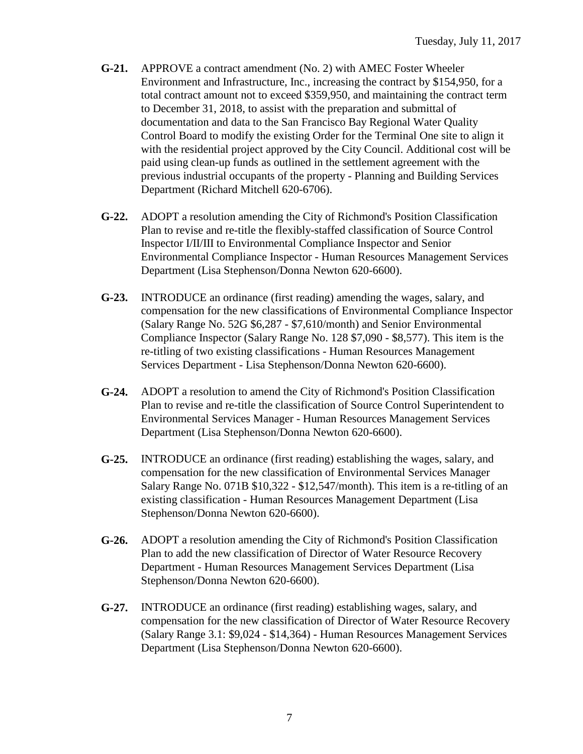- **G-21.** APPROVE a contract amendment (No. 2) with AMEC Foster Wheeler Environment and Infrastructure, Inc., increasing the contract by \$154,950, for a total contract amount not to exceed \$359,950, and maintaining the contract term to December 31, 2018, to assist with the preparation and submittal of documentation and data to the San Francisco Bay Regional Water Quality Control Board to modify the existing Order for the Terminal One site to align it with the residential project approved by the City Council. Additional cost will be paid using clean-up funds as outlined in the settlement agreement with the previous industrial occupants of the property - Planning and Building Services Department (Richard Mitchell 620-6706).
- **G-22.** ADOPT a resolution amending the City of Richmond's Position Classification Plan to revise and re-title the flexibly-staffed classification of Source Control Inspector I/II/III to Environmental Compliance Inspector and Senior Environmental Compliance Inspector - Human Resources Management Services Department (Lisa Stephenson/Donna Newton 620-6600).
- **G-23.** INTRODUCE an ordinance (first reading) amending the wages, salary, and compensation for the new classifications of Environmental Compliance Inspector (Salary Range No. 52G \$6,287 - \$7,610/month) and Senior Environmental Compliance Inspector (Salary Range No. 128 \$7,090 - \$8,577). This item is the re-titling of two existing classifications - Human Resources Management Services Department - Lisa Stephenson/Donna Newton 620-6600).
- **G-24.** ADOPT a resolution to amend the City of Richmond's Position Classification Plan to revise and re-title the classification of Source Control Superintendent to Environmental Services Manager - Human Resources Management Services Department (Lisa Stephenson/Donna Newton 620-6600).
- **G-25.** INTRODUCE an ordinance (first reading) establishing the wages, salary, and compensation for the new classification of Environmental Services Manager Salary Range No. 071B \$10,322 - \$12,547/month). This item is a re-titling of an existing classification - Human Resources Management Department (Lisa Stephenson/Donna Newton 620-6600).
- **G-26.** ADOPT a resolution amending the City of Richmond's Position Classification Plan to add the new classification of Director of Water Resource Recovery Department - Human Resources Management Services Department (Lisa Stephenson/Donna Newton 620-6600).
- **G-27.** INTRODUCE an ordinance (first reading) establishing wages, salary, and compensation for the new classification of Director of Water Resource Recovery (Salary Range 3.1: \$9,024 - \$14,364) - Human Resources Management Services Department (Lisa Stephenson/Donna Newton 620-6600).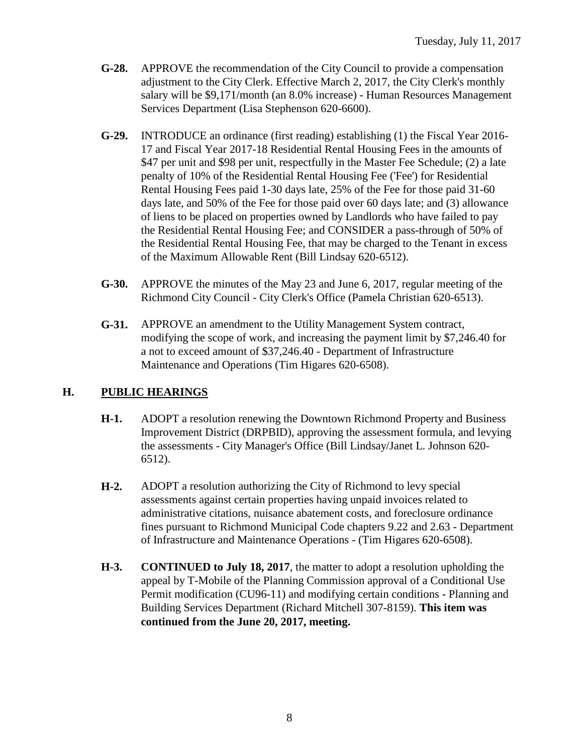- **G-28.** APPROVE the recommendation of the City Council to provide a compensation adjustment to the City Clerk. Effective March 2, 2017, the City Clerk's monthly salary will be \$9,171/month (an 8.0% increase) - Human Resources Management Services Department (Lisa Stephenson 620-6600).
- **G-29.** INTRODUCE an ordinance (first reading) establishing (1) the Fiscal Year 2016- 17 and Fiscal Year 2017-18 Residential Rental Housing Fees in the amounts of \$47 per unit and \$98 per unit, respectfully in the Master Fee Schedule; (2) a late penalty of 10% of the Residential Rental Housing Fee ('Fee') for Residential Rental Housing Fees paid 1-30 days late, 25% of the Fee for those paid 31-60 days late, and 50% of the Fee for those paid over 60 days late; and (3) allowance of liens to be placed on properties owned by Landlords who have failed to pay the Residential Rental Housing Fee; and CONSIDER a pass-through of 50% of the Residential Rental Housing Fee, that may be charged to the Tenant in excess of the Maximum Allowable Rent (Bill Lindsay 620-6512).
- **G-30.** APPROVE the minutes of the May 23 and June 6, 2017, regular meeting of the Richmond City Council - City Clerk's Office (Pamela Christian 620-6513).
- **G-31.** APPROVE an amendment to the Utility Management System contract, modifying the scope of work, and increasing the payment limit by \$7,246.40 for a not to exceed amount of \$37,246.40 - Department of Infrastructure Maintenance and Operations (Tim Higares 620-6508).

#### **H. PUBLIC HEARINGS**

- **H-1.** ADOPT a resolution renewing the Downtown Richmond Property and Business Improvement District (DRPBID), approving the assessment formula, and levying the assessments - City Manager's Office (Bill Lindsay/Janet L. Johnson 620- 6512).
- **H-2.** ADOPT a resolution authorizing the City of Richmond to levy special assessments against certain properties having unpaid invoices related to administrative citations, nuisance abatement costs, and foreclosure ordinance fines pursuant to Richmond Municipal Code chapters 9.22 and 2.63 - Department of Infrastructure and Maintenance Operations - (Tim Higares 620-6508).
- **H-3. CONTINUED to July 18, 2017**, the matter to adopt a resolution upholding the appeal by T-Mobile of the Planning Commission approval of a Conditional Use Permit modification (CU96-11) and modifying certain conditions - Planning and Building Services Department (Richard Mitchell 307-8159). **This item was continued from the June 20, 2017, meeting.**